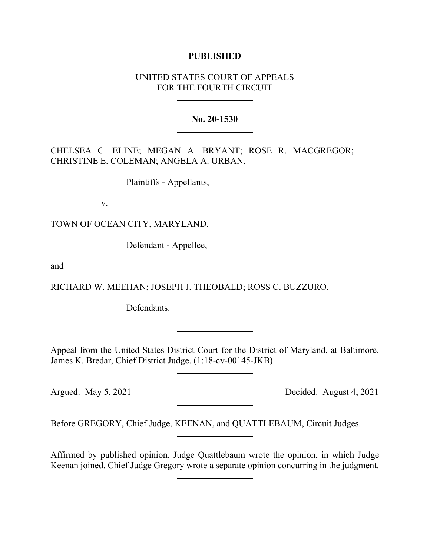## **PUBLISHED**

# UNITED STATES COURT OF APPEALS FOR THE FOURTH CIRCUIT

### **No. 20-1530**

CHELSEA C. ELINE; MEGAN A. BRYANT; ROSE R. MACGREGOR; CHRISTINE E. COLEMAN; ANGELA A. URBAN,

Plaintiffs - Appellants,

v.

TOWN OF OCEAN CITY, MARYLAND,

Defendant - Appellee,

and

RICHARD W. MEEHAN; JOSEPH J. THEOBALD; ROSS C. BUZZURO,

Defendants.

Appeal from the United States District Court for the District of Maryland, at Baltimore. James K. Bredar, Chief District Judge. (1:18-cv-00145-JKB)

Argued: May 5, 2021 Decided: August 4, 2021

Before GREGORY, Chief Judge, KEENAN, and QUATTLEBAUM, Circuit Judges.

Affirmed by published opinion. Judge Quattlebaum wrote the opinion, in which Judge Keenan joined. Chief Judge Gregory wrote a separate opinion concurring in the judgment.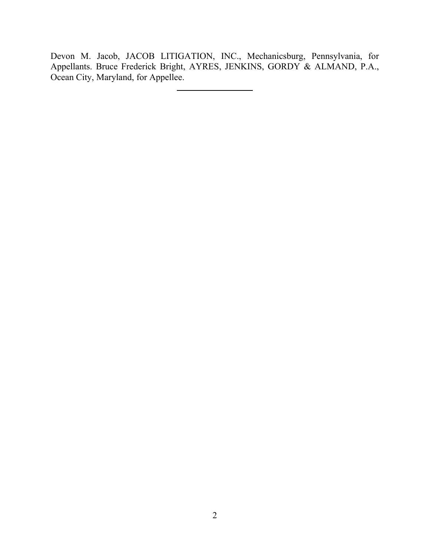Devon M. Jacob, JACOB LITIGATION, INC., Mechanicsburg, Pennsylvania, for Appellants. Bruce Frederick Bright, AYRES, JENKINS, GORDY & ALMAND, P.A., Ocean City, Maryland, for Appellee.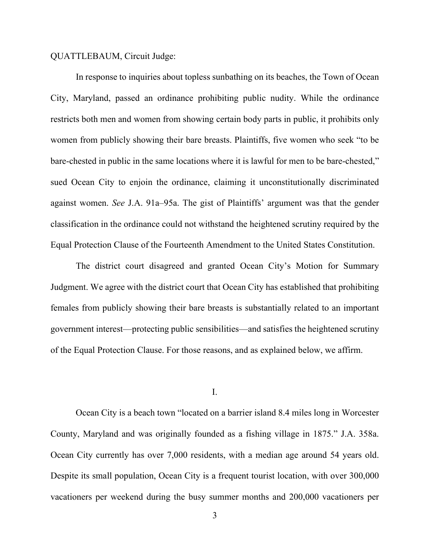#### QUATTLEBAUM, Circuit Judge:

In response to inquiries about topless sunbathing on its beaches, the Town of Ocean City, Maryland, passed an ordinance prohibiting public nudity. While the ordinance restricts both men and women from showing certain body parts in public, it prohibits only women from publicly showing their bare breasts. Plaintiffs, five women who seek "to be bare-chested in public in the same locations where it is lawful for men to be bare-chested," sued Ocean City to enjoin the ordinance, claiming it unconstitutionally discriminated against women. *See* J.A. 91a–95a. The gist of Plaintiffs' argument was that the gender classification in the ordinance could not withstand the heightened scrutiny required by the Equal Protection Clause of the Fourteenth Amendment to the United States Constitution.

The district court disagreed and granted Ocean City's Motion for Summary Judgment. We agree with the district court that Ocean City has established that prohibiting females from publicly showing their bare breasts is substantially related to an important government interest—protecting public sensibilities—and satisfies the heightened scrutiny of the Equal Protection Clause. For those reasons, and as explained below, we affirm.

#### I.

Ocean City is a beach town "located on a barrier island 8.4 miles long in Worcester County, Maryland and was originally founded as a fishing village in 1875." J.A. 358a. Ocean City currently has over 7,000 residents, with a median age around 54 years old. Despite its small population, Ocean City is a frequent tourist location, with over 300,000 vacationers per weekend during the busy summer months and 200,000 vacationers per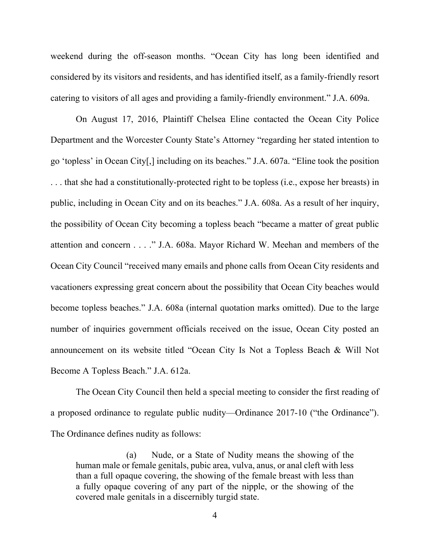weekend during the off-season months. "Ocean City has long been identified and considered by its visitors and residents, and has identified itself, as a family-friendly resort catering to visitors of all ages and providing a family-friendly environment." J.A. 609a.

On August 17, 2016, Plaintiff Chelsea Eline contacted the Ocean City Police Department and the Worcester County State's Attorney "regarding her stated intention to go 'topless' in Ocean City[,] including on its beaches." J.A. 607a. "Eline took the position . . . that she had a constitutionally-protected right to be topless (i.e., expose her breasts) in public, including in Ocean City and on its beaches." J.A. 608a. As a result of her inquiry, the possibility of Ocean City becoming a topless beach "became a matter of great public attention and concern . . . ." J.A. 608a. Mayor Richard W. Meehan and members of the Ocean City Council "received many emails and phone calls from Ocean City residents and vacationers expressing great concern about the possibility that Ocean City beaches would become topless beaches." J.A. 608a (internal quotation marks omitted). Due to the large number of inquiries government officials received on the issue, Ocean City posted an announcement on its website titled "Ocean City Is Not a Topless Beach & Will Not Become A Topless Beach." J.A. 612a.

The Ocean City Council then held a special meeting to consider the first reading of a proposed ordinance to regulate public nudity—Ordinance 2017-10 ("the Ordinance"). The Ordinance defines nudity as follows:

(a) Nude, or a State of Nudity means the showing of the human male or female genitals, pubic area, vulva, anus, or anal cleft with less than a full opaque covering, the showing of the female breast with less than a fully opaque covering of any part of the nipple, or the showing of the covered male genitals in a discernibly turgid state.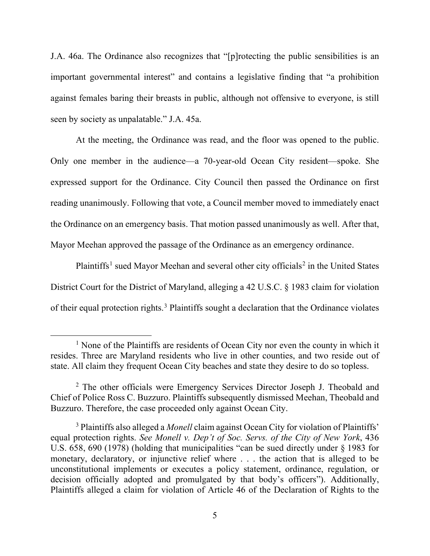J.A. 46a. The Ordinance also recognizes that "[p]rotecting the public sensibilities is an important governmental interest" and contains a legislative finding that "a prohibition against females baring their breasts in public, although not offensive to everyone, is still seen by society as unpalatable." J.A. 45a.

At the meeting, the Ordinance was read, and the floor was opened to the public. Only one member in the audience—a 70-year-old Ocean City resident—spoke. She expressed support for the Ordinance. City Council then passed the Ordinance on first reading unanimously. Following that vote, a Council member moved to immediately enact the Ordinance on an emergency basis. That motion passed unanimously as well. After that, Mayor Meehan approved the passage of the Ordinance as an emergency ordinance.

Plaintiffs<sup>[1](#page-4-0)</sup> sued Mayor Meehan and several other city officials<sup>[2](#page-4-1)</sup> in the United States District Court for the District of Maryland, alleging a 42 U.S.C. § 1983 claim for violation of their equal protection rights.<sup>[3](#page-4-2)</sup> Plaintiffs sought a declaration that the Ordinance violates

<span id="page-4-0"></span> $<sup>1</sup>$  None of the Plaintiffs are residents of Ocean City nor even the county in which it</sup> resides. Three are Maryland residents who live in other counties, and two reside out of state. All claim they frequent Ocean City beaches and state they desire to do so topless.

<span id="page-4-1"></span><sup>&</sup>lt;sup>2</sup> The other officials were Emergency Services Director Joseph J. Theobald and Chief of Police Ross C. Buzzuro. Plaintiffs subsequently dismissed Meehan, Theobald and Buzzuro. Therefore, the case proceeded only against Ocean City.

<span id="page-4-2"></span><sup>3</sup> Plaintiffs also alleged a *Monell* claim against Ocean City for violation of Plaintiffs' equal protection rights. *See Monell v. Dep't of Soc. Servs. of the City of New York*, 436 U.S. 658, 690 (1978) (holding that municipalities "can be sued directly under § 1983 for monetary, declaratory, or injunctive relief where . . . the action that is alleged to be unconstitutional implements or executes a policy statement, ordinance, regulation, or decision officially adopted and promulgated by that body's officers"). Additionally, Plaintiffs alleged a claim for violation of Article 46 of the Declaration of Rights to the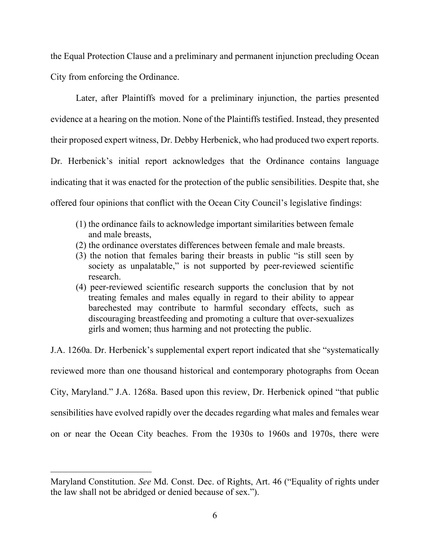the Equal Protection Clause and a preliminary and permanent injunction precluding Ocean City from enforcing the Ordinance.

Later, after Plaintiffs moved for a preliminary injunction, the parties presented evidence at a hearing on the motion. None of the Plaintiffs testified. Instead, they presented their proposed expert witness, Dr. Debby Herbenick, who had produced two expert reports. Dr. Herbenick's initial report acknowledges that the Ordinance contains language indicating that it was enacted for the protection of the public sensibilities. Despite that, she offered four opinions that conflict with the Ocean City Council's legislative findings:

- (1) the ordinance fails to acknowledge important similarities between female and male breasts,
- (2) the ordinance overstates differences between female and male breasts.
- (3) the notion that females baring their breasts in public "is still seen by society as unpalatable," is not supported by peer-reviewed scientific research.
- (4) peer-reviewed scientific research supports the conclusion that by not treating females and males equally in regard to their ability to appear barechested may contribute to harmful secondary effects, such as discouraging breastfeeding and promoting a culture that over-sexualizes girls and women; thus harming and not protecting the public.

J.A. 1260a. Dr. Herbenick's supplemental expert report indicated that she "systematically reviewed more than one thousand historical and contemporary photographs from Ocean City, Maryland." J.A. 1268a. Based upon this review, Dr. Herbenick opined "that public sensibilities have evolved rapidly over the decades regarding what males and females wear on or near the Ocean City beaches. From the 1930s to 1960s and 1970s, there were

Maryland Constitution. *See* Md. Const. Dec. of Rights, Art. 46 ("Equality of rights under the law shall not be abridged or denied because of sex.").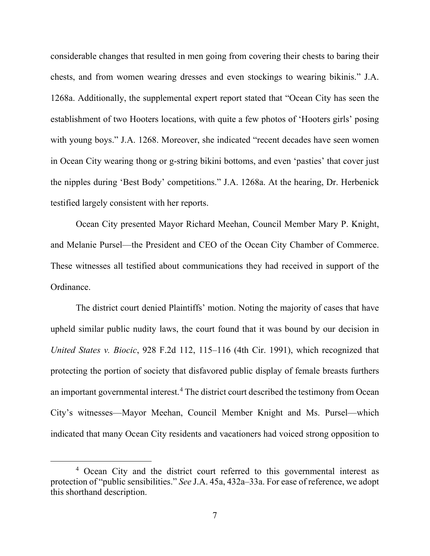considerable changes that resulted in men going from covering their chests to baring their chests, and from women wearing dresses and even stockings to wearing bikinis." J.A. 1268a. Additionally, the supplemental expert report stated that "Ocean City has seen the establishment of two Hooters locations, with quite a few photos of 'Hooters girls' posing with young boys." J.A. 1268. Moreover, she indicated "recent decades have seen women in Ocean City wearing thong or g-string bikini bottoms, and even 'pasties' that cover just the nipples during 'Best Body' competitions." J.A. 1268a. At the hearing, Dr. Herbenick testified largely consistent with her reports.

Ocean City presented Mayor Richard Meehan, Council Member Mary P. Knight, and Melanie Pursel—the President and CEO of the Ocean City Chamber of Commerce. These witnesses all testified about communications they had received in support of the Ordinance.

The district court denied Plaintiffs' motion. Noting the majority of cases that have upheld similar public nudity laws, the court found that it was bound by our decision in *United States v. Biocic*, 928 F.2d 112, 115–116 (4th Cir. 1991), which recognized that protecting the portion of society that disfavored public display of female breasts furthers an important governmental interest. [4](#page-6-0) The district court described the testimony from Ocean City's witnesses—Mayor Meehan, Council Member Knight and Ms. Pursel—which indicated that many Ocean City residents and vacationers had voiced strong opposition to

<span id="page-6-0"></span><sup>4</sup> Ocean City and the district court referred to this governmental interest as protection of "public sensibilities." *See* J.A. 45a, 432a–33a. For ease of reference, we adopt this shorthand description.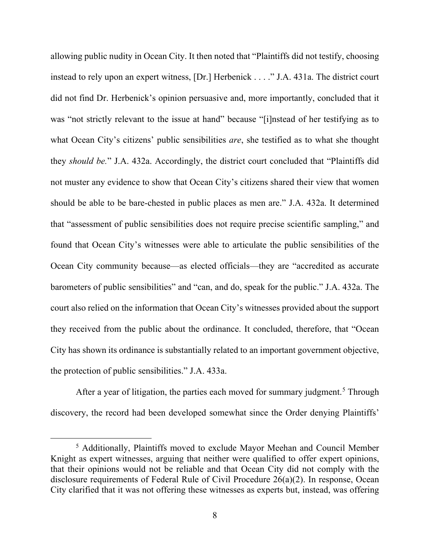allowing public nudity in Ocean City. It then noted that "Plaintiffs did not testify, choosing instead to rely upon an expert witness, [Dr.] Herbenick . . . ." J.A. 431a. The district court did not find Dr. Herbenick's opinion persuasive and, more importantly, concluded that it was "not strictly relevant to the issue at hand" because "[i]nstead of her testifying as to what Ocean City's citizens' public sensibilities *are*, she testified as to what she thought they *should be.*" J.A. 432a. Accordingly, the district court concluded that "Plaintiffs did not muster any evidence to show that Ocean City's citizens shared their view that women should be able to be bare-chested in public places as men are." J.A. 432a. It determined that "assessment of public sensibilities does not require precise scientific sampling," and found that Ocean City's witnesses were able to articulate the public sensibilities of the Ocean City community because—as elected officials—they are "accredited as accurate barometers of public sensibilities" and "can, and do, speak for the public." J.A. 432a. The court also relied on the information that Ocean City's witnesses provided about the support they received from the public about the ordinance. It concluded, therefore, that "Ocean City has shown its ordinance is substantially related to an important government objective, the protection of public sensibilities." J.A. 433a.

After a year of litigation, the parties each moved for summary judgment.<sup>[5](#page-7-0)</sup> Through discovery, the record had been developed somewhat since the Order denying Plaintiffs'

<span id="page-7-0"></span><sup>5</sup> Additionally, Plaintiffs moved to exclude Mayor Meehan and Council Member Knight as expert witnesses, arguing that neither were qualified to offer expert opinions, that their opinions would not be reliable and that Ocean City did not comply with the disclosure requirements of Federal Rule of Civil Procedure 26(a)(2). In response, Ocean City clarified that it was not offering these witnesses as experts but, instead, was offering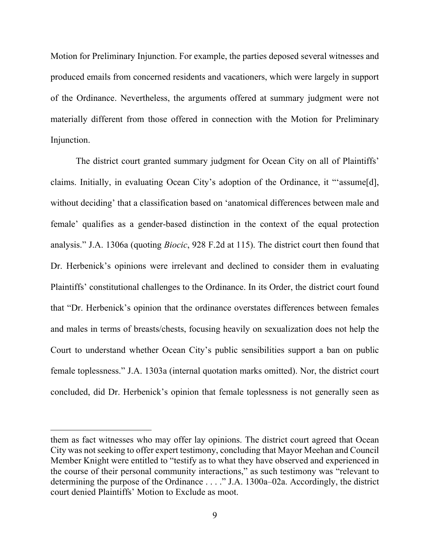Motion for Preliminary Injunction. For example, the parties deposed several witnesses and produced emails from concerned residents and vacationers, which were largely in support of the Ordinance. Nevertheless, the arguments offered at summary judgment were not materially different from those offered in connection with the Motion for Preliminary Injunction.

The district court granted summary judgment for Ocean City on all of Plaintiffs' claims. Initially, in evaluating Ocean City's adoption of the Ordinance, it "'assume[d], without deciding' that a classification based on 'anatomical differences between male and female' qualifies as a gender-based distinction in the context of the equal protection analysis." J.A. 1306a (quoting *Biocic*, 928 F.2d at 115). The district court then found that Dr. Herbenick's opinions were irrelevant and declined to consider them in evaluating Plaintiffs' constitutional challenges to the Ordinance. In its Order, the district court found that "Dr. Herbenick's opinion that the ordinance overstates differences between females and males in terms of breasts/chests, focusing heavily on sexualization does not help the Court to understand whether Ocean City's public sensibilities support a ban on public female toplessness." J.A. 1303a (internal quotation marks omitted). Nor, the district court concluded, did Dr. Herbenick's opinion that female toplessness is not generally seen as

them as fact witnesses who may offer lay opinions. The district court agreed that Ocean City was not seeking to offer expert testimony, concluding that Mayor Meehan and Council Member Knight were entitled to "testify as to what they have observed and experienced in the course of their personal community interactions," as such testimony was "relevant to determining the purpose of the Ordinance . . . ." J.A. 1300a–02a. Accordingly, the district court denied Plaintiffs' Motion to Exclude as moot.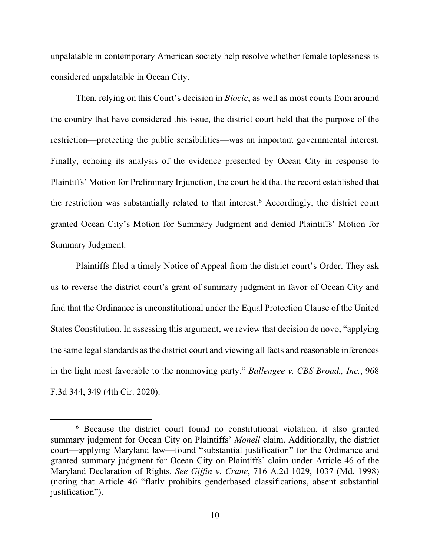unpalatable in contemporary American society help resolve whether female toplessness is considered unpalatable in Ocean City.

Then, relying on this Court's decision in *Biocic*, as well as most courts from around the country that have considered this issue, the district court held that the purpose of the restriction—protecting the public sensibilities—was an important governmental interest. Finally, echoing its analysis of the evidence presented by Ocean City in response to Plaintiffs' Motion for Preliminary Injunction, the court held that the record established that the restriction was substantially related to that interest.<sup>[6](#page-9-0)</sup> Accordingly, the district court granted Ocean City's Motion for Summary Judgment and denied Plaintiffs' Motion for Summary Judgment.

Plaintiffs filed a timely Notice of Appeal from the district court's Order. They ask us to reverse the district court's grant of summary judgment in favor of Ocean City and find that the Ordinance is unconstitutional under the Equal Protection Clause of the United States Constitution. In assessing this argument, we review that decision de novo, "applying the same legal standards as the district court and viewing all facts and reasonable inferences in the light most favorable to the nonmoving party." *Ballengee v. CBS Broad., Inc.*, 968 F.3d 344, 349 (4th Cir. 2020).

<span id="page-9-0"></span><sup>6</sup> Because the district court found no constitutional violation, it also granted summary judgment for Ocean City on Plaintiffs' *Monell* claim. Additionally, the district court—applying Maryland law—found "substantial justification" for the Ordinance and granted summary judgment for Ocean City on Plaintiffs' claim under Article 46 of the Maryland Declaration of Rights. *See Giffin v. Crane*, 716 A.2d 1029, 1037 (Md. 1998) (noting that Article 46 "flatly prohibits genderbased classifications, absent substantial justification").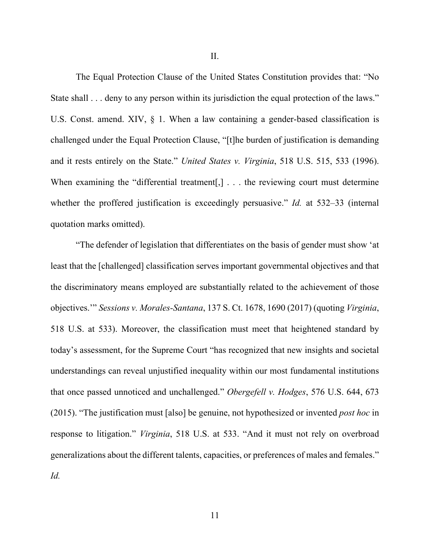II.

The Equal Protection Clause of the United States Constitution provides that: "No State shall . . . deny to any person within its jurisdiction the equal protection of the laws." U.S. Const. amend. XIV, § 1. When a law containing a gender-based classification is challenged under the Equal Protection Clause, "[t]he burden of justification is demanding and it rests entirely on the State." *United States v. Virginia*, 518 U.S. 515, 533 (1996). When examining the "differential treatment<sup>[1]</sup>, . . . the reviewing court must determine whether the proffered justification is exceedingly persuasive." *Id.* at 532–33 (internal quotation marks omitted).

"The defender of legislation that differentiates on the basis of gender must show 'at least that the [challenged] classification serves important governmental objectives and that the discriminatory means employed are substantially related to the achievement of those objectives.'" *Sessions v. Morales-Santana*, 137 S. Ct. 1678, 1690 (2017) (quoting *Virginia*, 518 U.S. at 533). Moreover, the classification must meet that heightened standard by today's assessment, for the Supreme Court "has recognized that new insights and societal understandings can reveal unjustified inequality within our most fundamental institutions that once passed unnoticed and unchallenged." *Obergefell v. Hodges*, 576 U.S. 644, 673 (2015). "The justification must [also] be genuine, not hypothesized or invented *post hoc* in response to litigation." *Virginia*, 518 U.S. at 533. "And it must not rely on overbroad generalizations about the different talents, capacities, or preferences of males and females." *Id.*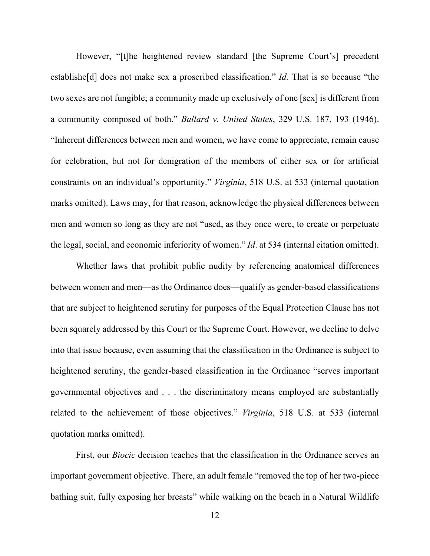However, "[t]he heightened review standard [the Supreme Court's] precedent establishe[d] does not make sex a proscribed classification." *Id.* That is so because "the two sexes are not fungible; a community made up exclusively of one [sex] is different from a community composed of both." *Ballard v. United States*, 329 U.S. 187, 193 (1946). "Inherent differences between men and women, we have come to appreciate, remain cause for celebration, but not for denigration of the members of either sex or for artificial constraints on an individual's opportunity." *Virginia*, 518 U.S. at 533 (internal quotation marks omitted). Laws may, for that reason, acknowledge the physical differences between men and women so long as they are not "used, as they once were, to create or perpetuate the legal, social, and economic inferiority of women." *Id*. at 534 (internal citation omitted).

Whether laws that prohibit public nudity by referencing anatomical differences between women and men—as the Ordinance does—qualify as gender-based classifications that are subject to heightened scrutiny for purposes of the Equal Protection Clause has not been squarely addressed by this Court or the Supreme Court. However, we decline to delve into that issue because, even assuming that the classification in the Ordinance is subject to heightened scrutiny, the gender-based classification in the Ordinance "serves important governmental objectives and . . . the discriminatory means employed are substantially related to the achievement of those objectives." *Virginia*, 518 U.S. at 533 (internal quotation marks omitted).

First, our *Biocic* decision teaches that the classification in the Ordinance serves an important government objective. There, an adult female "removed the top of her two-piece bathing suit, fully exposing her breasts" while walking on the beach in a Natural Wildlife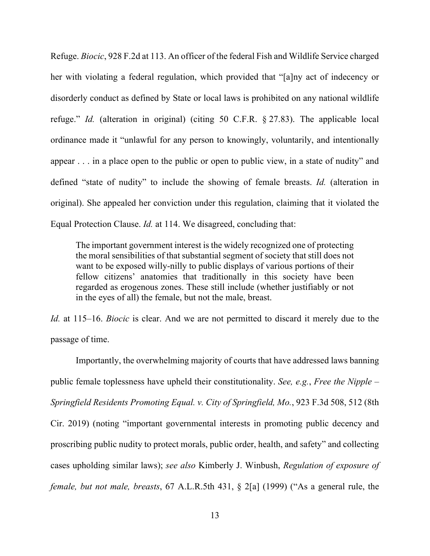Refuge. *Biocic*, 928 F.2d at 113. An officer of the federal Fish and Wildlife Service charged her with violating a federal regulation, which provided that "[a]ny act of indecency or disorderly conduct as defined by State or local laws is prohibited on any national wildlife refuge." *Id.* (alteration in original) (citing 50 C.F.R. § 27.83). The applicable local ordinance made it "unlawful for any person to knowingly, voluntarily, and intentionally appear . . . in a place open to the public or open to public view, in a state of nudity" and defined "state of nudity" to include the showing of female breasts. *Id.* (alteration in original). She appealed her conviction under this regulation, claiming that it violated the Equal Protection Clause. *Id.* at 114. We disagreed, concluding that:

The important government interest is the widely recognized one of protecting the moral sensibilities of that substantial segment of society that still does not want to be exposed willy-nilly to public displays of various portions of their fellow citizens' anatomies that traditionally in this society have been regarded as erogenous zones. These still include (whether justifiably or not in the eyes of all) the female, but not the male, breast.

*Id.* at 115–16. *Biocic* is clear. And we are not permitted to discard it merely due to the passage of time.

Importantly, the overwhelming majority of courts that have addressed laws banning public female toplessness have upheld their constitutionality. *See, e.g.*, *Free the Nipple – Springfield Residents Promoting Equal. v. City of Springfield, Mo.*, 923 F.3d 508, 512 (8th Cir. 2019) (noting "important governmental interests in promoting public decency and proscribing public nudity to protect morals, public order, health, and safety" and collecting cases upholding similar laws); *see also* Kimberly J. Winbush, *Regulation of exposure of female, but not male, breasts*, 67 A.L.R.5th 431, § 2[a] (1999) ("As a general rule, the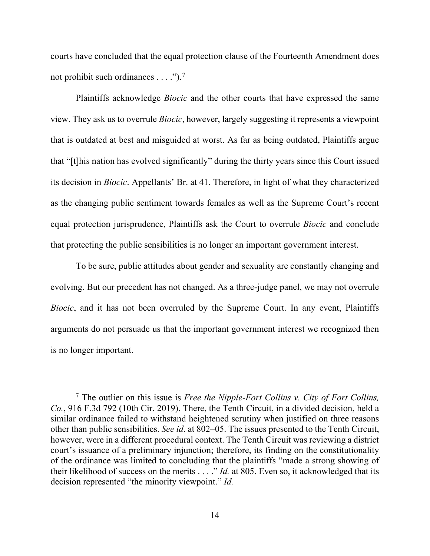courts have concluded that the equal protection clause of the Fourteenth Amendment does not prohibit such ordinances  $\dots$ ").<sup>[7](#page-13-0)</sup>

Plaintiffs acknowledge *Biocic* and the other courts that have expressed the same view. They ask us to overrule *Biocic*, however, largely suggesting it represents a viewpoint that is outdated at best and misguided at worst. As far as being outdated, Plaintiffs argue that "[t]his nation has evolved significantly" during the thirty years since this Court issued its decision in *Biocic*. Appellants' Br. at 41. Therefore, in light of what they characterized as the changing public sentiment towards females as well as the Supreme Court's recent equal protection jurisprudence, Plaintiffs ask the Court to overrule *Biocic* and conclude that protecting the public sensibilities is no longer an important government interest.

To be sure, public attitudes about gender and sexuality are constantly changing and evolving. But our precedent has not changed. As a three-judge panel, we may not overrule *Biocic*, and it has not been overruled by the Supreme Court. In any event, Plaintiffs arguments do not persuade us that the important government interest we recognized then is no longer important.

<span id="page-13-0"></span><sup>7</sup> The outlier on this issue is *Free the Nipple-Fort Collins v. City of Fort Collins, Co.*, 916 F.3d 792 (10th Cir. 2019). There, the Tenth Circuit, in a divided decision, held a similar ordinance failed to withstand heightened scrutiny when justified on three reasons other than public sensibilities. *See id*. at 802–05. The issues presented to the Tenth Circuit, however, were in a different procedural context. The Tenth Circuit was reviewing a district court's issuance of a preliminary injunction; therefore, its finding on the constitutionality of the ordinance was limited to concluding that the plaintiffs "made a strong showing of their likelihood of success on the merits . . . ." *Id.* at 805. Even so, it acknowledged that its decision represented "the minority viewpoint." *Id.*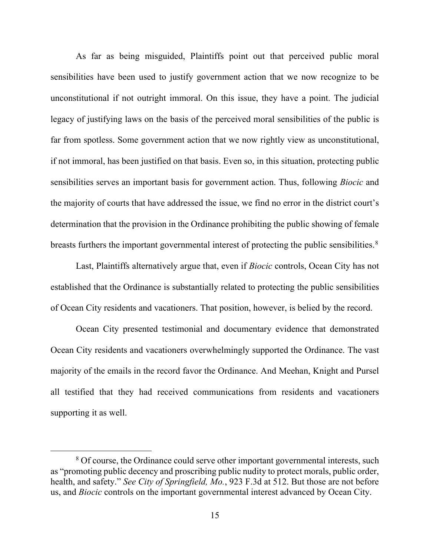As far as being misguided, Plaintiffs point out that perceived public moral sensibilities have been used to justify government action that we now recognize to be unconstitutional if not outright immoral. On this issue, they have a point. The judicial legacy of justifying laws on the basis of the perceived moral sensibilities of the public is far from spotless. Some government action that we now rightly view as unconstitutional, if not immoral, has been justified on that basis. Even so, in this situation, protecting public sensibilities serves an important basis for government action. Thus, following *Biocic* and the majority of courts that have addressed the issue, we find no error in the district court's determination that the provision in the Ordinance prohibiting the public showing of female breasts furthers the important governmental interest of protecting the public sensibilities.<sup>[8](#page-14-0)</sup>

Last, Plaintiffs alternatively argue that, even if *Biocic* controls, Ocean City has not established that the Ordinance is substantially related to protecting the public sensibilities of Ocean City residents and vacationers. That position, however, is belied by the record.

Ocean City presented testimonial and documentary evidence that demonstrated Ocean City residents and vacationers overwhelmingly supported the Ordinance. The vast majority of the emails in the record favor the Ordinance. And Meehan, Knight and Pursel all testified that they had received communications from residents and vacationers supporting it as well.

<span id="page-14-0"></span><sup>&</sup>lt;sup>8</sup> Of course, the Ordinance could serve other important governmental interests, such as "promoting public decency and proscribing public nudity to protect morals, public order, health, and safety." *See City of Springfield, Mo.*, 923 F.3d at 512. But those are not before us, and *Biocic* controls on the important governmental interest advanced by Ocean City.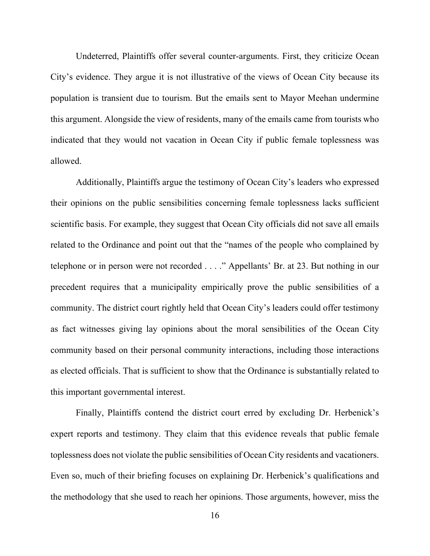Undeterred, Plaintiffs offer several counter-arguments. First, they criticize Ocean City's evidence. They argue it is not illustrative of the views of Ocean City because its population is transient due to tourism. But the emails sent to Mayor Meehan undermine this argument. Alongside the view of residents, many of the emails came from tourists who indicated that they would not vacation in Ocean City if public female toplessness was allowed.

Additionally, Plaintiffs argue the testimony of Ocean City's leaders who expressed their opinions on the public sensibilities concerning female toplessness lacks sufficient scientific basis. For example, they suggest that Ocean City officials did not save all emails related to the Ordinance and point out that the "names of the people who complained by telephone or in person were not recorded . . . ." Appellants' Br. at 23. But nothing in our precedent requires that a municipality empirically prove the public sensibilities of a community. The district court rightly held that Ocean City's leaders could offer testimony as fact witnesses giving lay opinions about the moral sensibilities of the Ocean City community based on their personal community interactions, including those interactions as elected officials. That is sufficient to show that the Ordinance is substantially related to this important governmental interest.

Finally, Plaintiffs contend the district court erred by excluding Dr. Herbenick's expert reports and testimony. They claim that this evidence reveals that public female toplessness does not violate the public sensibilities of Ocean City residents and vacationers. Even so, much of their briefing focuses on explaining Dr. Herbenick's qualifications and the methodology that she used to reach her opinions. Those arguments, however, miss the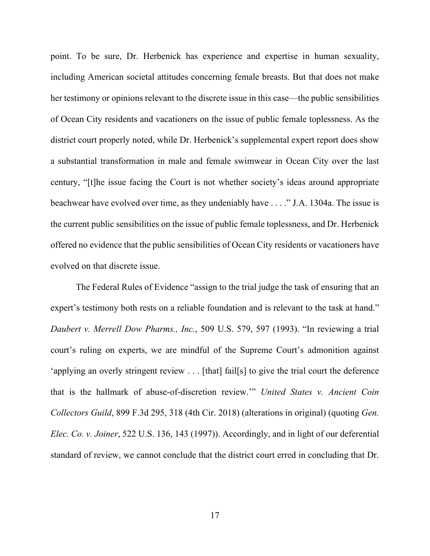point. To be sure, Dr. Herbenick has experience and expertise in human sexuality, including American societal attitudes concerning female breasts. But that does not make her testimony or opinions relevant to the discrete issue in this case—the public sensibilities of Ocean City residents and vacationers on the issue of public female toplessness. As the district court properly noted, while Dr. Herbenick's supplemental expert report does show a substantial transformation in male and female swimwear in Ocean City over the last century, "[t]he issue facing the Court is not whether society's ideas around appropriate beachwear have evolved over time, as they undeniably have . . . ." J.A. 1304a. The issue is the current public sensibilities on the issue of public female toplessness, and Dr. Herbenick offered no evidence that the public sensibilities of Ocean City residents or vacationers have evolved on that discrete issue.

The Federal Rules of Evidence "assign to the trial judge the task of ensuring that an expert's testimony both rests on a reliable foundation and is relevant to the task at hand." *Daubert v. Merrell Dow Pharms., Inc.*, 509 U.S. 579, 597 (1993). "In reviewing a trial court's ruling on experts, we are mindful of the Supreme Court's admonition against 'applying an overly stringent review . . . [that] fail[s] to give the trial court the deference that is the hallmark of abuse-of-discretion review.'" *United States v. Ancient Coin Collectors Guild*, 899 F.3d 295, 318 (4th Cir. 2018) (alterations in original) (quoting *Gen. Elec. Co. v. Joiner*, 522 U.S. 136, 143 (1997)). Accordingly, and in light of our deferential standard of review, we cannot conclude that the district court erred in concluding that Dr.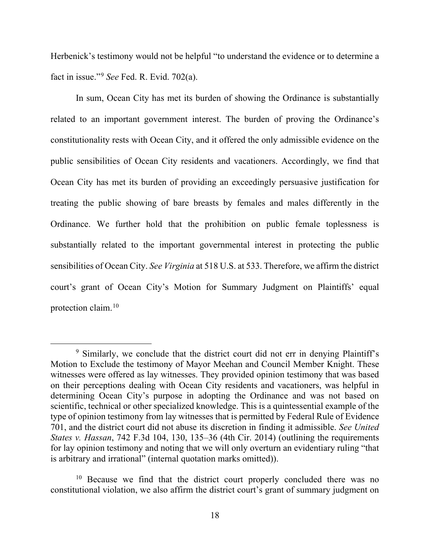Herbenick's testimony would not be helpful "to understand the evidence or to determine a fact in issue."[9](#page-17-0) *See* Fed. R. Evid. 702(a).

In sum, Ocean City has met its burden of showing the Ordinance is substantially related to an important government interest. The burden of proving the Ordinance's constitutionality rests with Ocean City, and it offered the only admissible evidence on the public sensibilities of Ocean City residents and vacationers. Accordingly, we find that Ocean City has met its burden of providing an exceedingly persuasive justification for treating the public showing of bare breasts by females and males differently in the Ordinance. We further hold that the prohibition on public female toplessness is substantially related to the important governmental interest in protecting the public sensibilities of Ocean City. *See Virginia* at 518 U.S. at 533. Therefore, we affirm the district court's grant of Ocean City's Motion for Summary Judgment on Plaintiffs' equal protection claim.[10](#page-17-1)

<span id="page-17-0"></span><sup>&</sup>lt;sup>9</sup> Similarly, we conclude that the district court did not err in denying Plaintiff's Motion to Exclude the testimony of Mayor Meehan and Council Member Knight. These witnesses were offered as lay witnesses. They provided opinion testimony that was based on their perceptions dealing with Ocean City residents and vacationers, was helpful in determining Ocean City's purpose in adopting the Ordinance and was not based on scientific, technical or other specialized knowledge. This is a quintessential example of the type of opinion testimony from lay witnesses that is permitted by Federal Rule of Evidence 701, and the district court did not abuse its discretion in finding it admissible. *See United States v. Hassan*, 742 F.3d 104, 130, 135–36 (4th Cir. 2014) (outlining the requirements for lay opinion testimony and noting that we will only overturn an evidentiary ruling "that is arbitrary and irrational" (internal quotation marks omitted)).

<span id="page-17-1"></span> $10$  Because we find that the district court properly concluded there was no constitutional violation, we also affirm the district court's grant of summary judgment on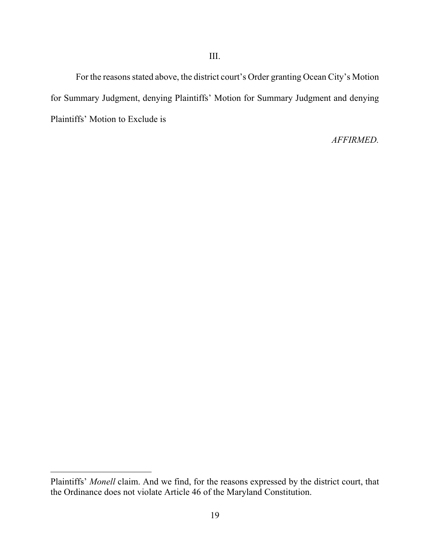For the reasons stated above, the district court's Order granting Ocean City's Motion for Summary Judgment, denying Plaintiffs' Motion for Summary Judgment and denying Plaintiffs' Motion to Exclude is

*AFFIRMED.*

Plaintiffs' *Monell* claim. And we find, for the reasons expressed by the district court, that the Ordinance does not violate Article 46 of the Maryland Constitution.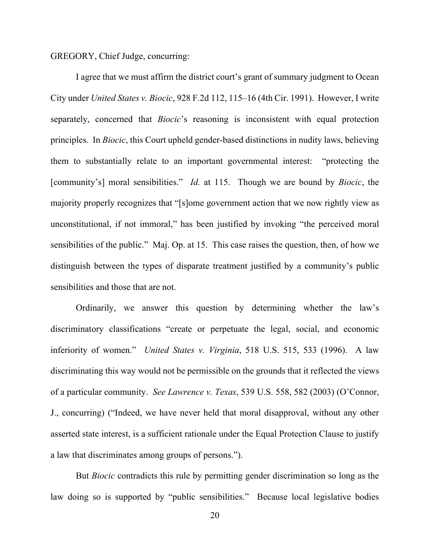## GREGORY, Chief Judge, concurring:

I agree that we must affirm the district court's grant of summary judgment to Ocean City under *United States v. Biocic*, 928 F.2d 112, 115–16 (4th Cir. 1991). However, I write separately, concerned that *Biocic*'s reasoning is inconsistent with equal protection principles. In *Biocic*, this Court upheld gender-based distinctions in nudity laws, believing them to substantially relate to an important governmental interest: "protecting the [community's] moral sensibilities." *Id.* at 115. Though we are bound by *Biocic*, the majority properly recognizes that "[s]ome government action that we now rightly view as unconstitutional, if not immoral," has been justified by invoking "the perceived moral sensibilities of the public." Maj. Op. at 15. This case raises the question, then, of how we distinguish between the types of disparate treatment justified by a community's public sensibilities and those that are not.

Ordinarily, we answer this question by determining whether the law's discriminatory classifications "create or perpetuate the legal, social, and economic inferiority of women." *United States v. Virginia*, 518 U.S. 515, 533 (1996). A law discriminating this way would not be permissible on the grounds that it reflected the views of a particular community. *See Lawrence v. Texas*, 539 U.S. 558, 582 (2003) (O'Connor, J., concurring) ("Indeed, we have never held that moral disapproval, without any other asserted state interest, is a sufficient rationale under the Equal Protection Clause to justify a law that discriminates among groups of persons.").

But *Biocic* contradicts this rule by permitting gender discrimination so long as the law doing so is supported by "public sensibilities." Because local legislative bodies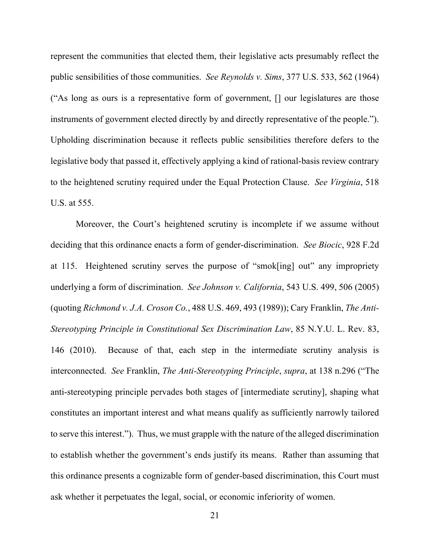represent the communities that elected them, their legislative acts presumably reflect the public sensibilities of those communities. *See Reynolds v. Sims*, 377 U.S. 533, 562 (1964) ("As long as ours is a representative form of government, [] our legislatures are those instruments of government elected directly by and directly representative of the people."). Upholding discrimination because it reflects public sensibilities therefore defers to the legislative body that passed it, effectively applying a kind of rational-basis review contrary to the heightened scrutiny required under the Equal Protection Clause. *See Virginia*, 518 U.S. at 555.

Moreover, the Court's heightened scrutiny is incomplete if we assume without deciding that this ordinance enacts a form of gender-discrimination. *See Biocic*, 928 F.2d at 115. Heightened scrutiny serves the purpose of "smok[ing] out" any impropriety underlying a form of discrimination. *See Johnson v. California*, 543 U.S. 499, 506 (2005) (quoting *Richmond v. J.A. Croson Co.*, 488 U.S. 469, 493 (1989)); Cary Franklin, *The Anti-Stereotyping Principle in Constitutional Sex Discrimination Law*, 85 N.Y.U. L. Rev. 83, 146 (2010). Because of that, each step in the intermediate scrutiny analysis is interconnected. *See* Franklin, *The Anti-Stereotyping Principle*, *supra*, at 138 n.296 ("The anti-stereotyping principle pervades both stages of [intermediate scrutiny], shaping what constitutes an important interest and what means qualify as sufficiently narrowly tailored to serve this interest."). Thus, we must grapple with the nature of the alleged discrimination to establish whether the government's ends justify its means. Rather than assuming that this ordinance presents a cognizable form of gender-based discrimination, this Court must ask whether it perpetuates the legal, social, or economic inferiority of women.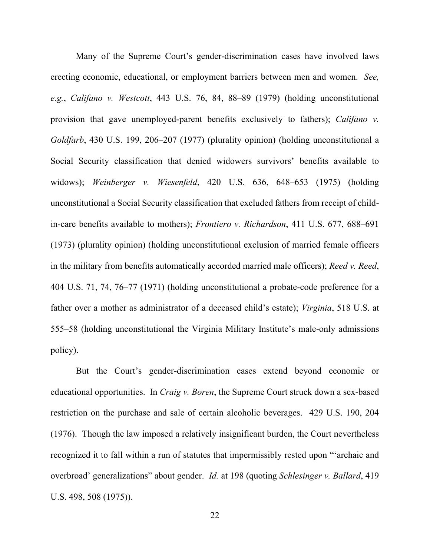Many of the Supreme Court's gender-discrimination cases have involved laws erecting economic, educational, or employment barriers between men and women. *See, e.g.*, *Califano v. Westcott*, 443 U.S. 76, 84, 88–89 (1979) (holding unconstitutional provision that gave unemployed-parent benefits exclusively to fathers); *Califano v. Goldfarb*, 430 U.S. 199, 206–207 (1977) (plurality opinion) (holding unconstitutional a Social Security classification that denied widowers survivors' benefits available to widows); *Weinberger v. Wiesenfeld*, 420 U.S. 636, 648–653 (1975) (holding unconstitutional a Social Security classification that excluded fathers from receipt of childin-care benefits available to mothers); *Frontiero v. Richardson*, 411 U.S. 677, 688–691 (1973) (plurality opinion) (holding unconstitutional exclusion of married female officers in the military from benefits automatically accorded married male officers); *Reed v. Reed*, 404 U.S. 71, 74, 76–77 (1971) (holding unconstitutional a probate-code preference for a father over a mother as administrator of a deceased child's estate); *Virginia*, 518 U.S. at 555–58 (holding unconstitutional the Virginia Military Institute's male-only admissions policy).

But the Court's gender-discrimination cases extend beyond economic or educational opportunities. In *Craig v. Boren*, the Supreme Court struck down a sex-based restriction on the purchase and sale of certain alcoholic beverages. 429 U.S. 190, 204 (1976). Though the law imposed a relatively insignificant burden, the Court nevertheless recognized it to fall within a run of statutes that impermissibly rested upon "'archaic and overbroad' generalizations" about gender. *Id.* at 198 (quoting *Schlesinger v. Ballard*, 419 U.S. 498, 508 (1975)).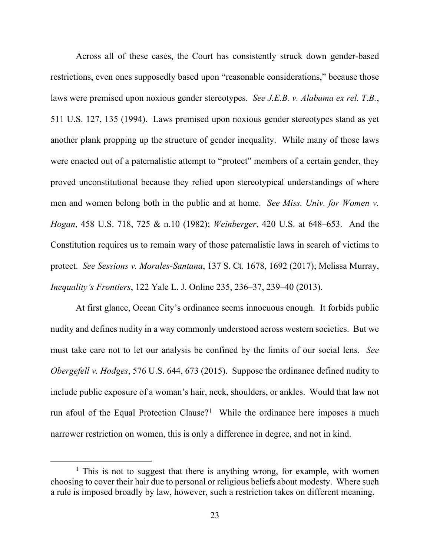Across all of these cases, the Court has consistently struck down gender-based restrictions, even ones supposedly based upon "reasonable considerations," because those laws were premised upon noxious gender stereotypes. *See J.E.B. v. Alabama ex rel. T.B.*, 511 U.S. 127, 135 (1994). Laws premised upon noxious gender stereotypes stand as yet another plank propping up the structure of gender inequality. While many of those laws were enacted out of a paternalistic attempt to "protect" members of a certain gender, they proved unconstitutional because they relied upon stereotypical understandings of where men and women belong both in the public and at home. *See Miss. Univ. for Women v. Hogan*, 458 U.S. 718, 725 & n.10 (1982); *Weinberger*, 420 U.S. at 648–653. And the Constitution requires us to remain wary of those paternalistic laws in search of victims to protect. *See Sessions v. Morales-Santana*, 137 S. Ct. 1678, 1692 (2017); Melissa Murray, *Inequality's Frontiers*, 122 Yale L. J. Online 235, 236–37, 239–40 (2013).

At first glance, Ocean City's ordinance seems innocuous enough. It forbids public nudity and defines nudity in a way commonly understood across western societies. But we must take care not to let our analysis be confined by the limits of our social lens. *See Obergefell v. Hodges*, 576 U.S. 644, 673 (2015). Suppose the ordinance defined nudity to include public exposure of a woman's hair, neck, shoulders, or ankles. Would that law not run afoul of the Equal Protection Clause?<sup>[1](#page-22-0)</sup> While the ordinance here imposes a much narrower restriction on women, this is only a difference in degree, and not in kind.

<span id="page-22-0"></span><sup>&</sup>lt;sup>1</sup> This is not to suggest that there is anything wrong, for example, with women choosing to cover their hair due to personal or religious beliefs about modesty. Where such a rule is imposed broadly by law, however, such a restriction takes on different meaning.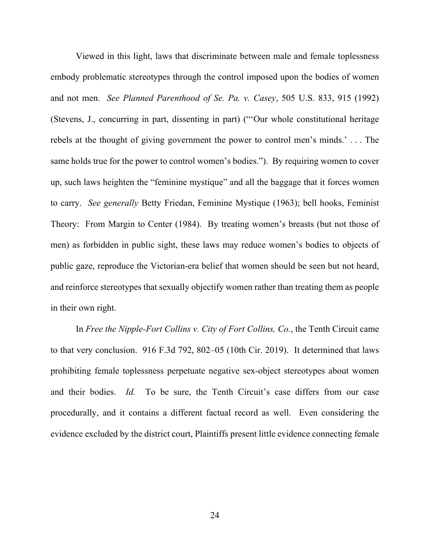Viewed in this light, laws that discriminate between male and female toplessness embody problematic stereotypes through the control imposed upon the bodies of women and not men. *See Planned Parenthood of Se. Pa. v. Casey*, 505 U.S. 833, 915 (1992) (Stevens, J., concurring in part, dissenting in part) ("'Our whole constitutional heritage rebels at the thought of giving government the power to control men's minds.' . . . The same holds true for the power to control women's bodies."). By requiring women to cover up, such laws heighten the "feminine mystique" and all the baggage that it forces women to carry. *See generally* Betty Friedan, Feminine Mystique (1963); bell hooks, Feminist Theory: From Margin to Center (1984). By treating women's breasts (but not those of men) as forbidden in public sight, these laws may reduce women's bodies to objects of public gaze, reproduce the Victorian-era belief that women should be seen but not heard, and reinforce stereotypes that sexually objectify women rather than treating them as people in their own right.

In *Free the Nipple-Fort Collins v. City of Fort Collins, Co.*, the Tenth Circuit came to that very conclusion. 916 F.3d 792, 802–05 (10th Cir. 2019). It determined that laws prohibiting female toplessness perpetuate negative sex-object stereotypes about women and their bodies. *Id.* To be sure, the Tenth Circuit's case differs from our case procedurally, and it contains a different factual record as well. Even considering the evidence excluded by the district court, Plaintiffs present little evidence connecting female